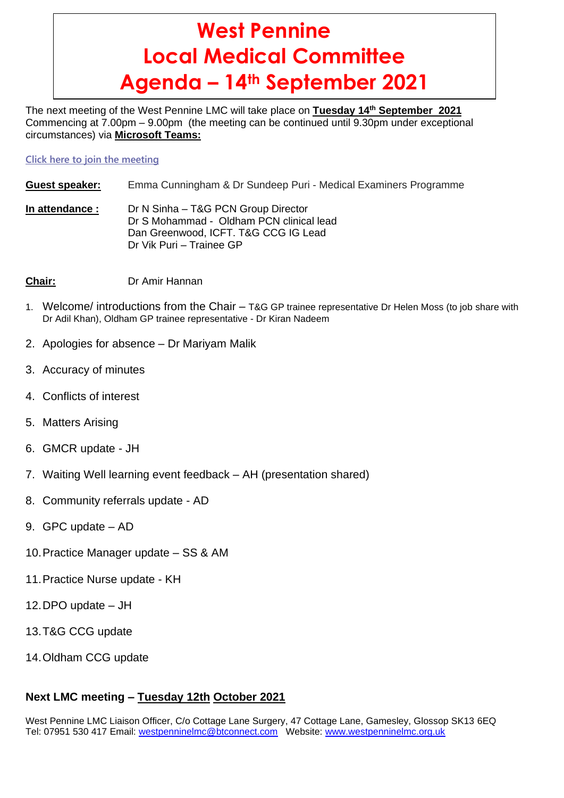# **West Pennine Local Medical Committee Agenda – 14th September 2021**

The next meeting of the West Pennine LMC will take place on **Tuesday 14 th September 2021** Commencing at 7.00pm – 9.00pm (the meeting can be continued until 9.30pm under exceptional circumstances) via **Microsoft Teams:**

**[Click here to join the meeting](https://teams.microsoft.com/l/meetup-join/19%3ameeting_ZWNkN2ZiNjUtNGUxOS00NWE3LWJjNDQtZjY0ZjUzNDllMWZk%40thread.v2/0?context=%7b%22Tid%22%3a%2237c354b2-85b0-47f5-b222-07b48d774ee3%22%2c%22Oid%22%3a%222b73c2c4-4d9e-4780-ac71-6a1b9abbc854%22%7d)**

- **Guest speaker:** Emma Cunningham & Dr Sundeep Puri Medical Examiners Programme
- **In attendance :** Dr N Sinha T&G PCN Group Director Dr S Mohammad - Oldham PCN clinical lead Dan Greenwood, ICFT. T&G CCG IG Lead Dr Vik Puri – Trainee GP
- **Chair:** Dr Amir Hannan
- 1. Welcome/ introductions from the Chair T&G GP trainee representative Dr Helen Moss (to job share with Dr Adil Khan), Oldham GP trainee representative - Dr Kiran Nadeem
- 2. Apologies for absence Dr Mariyam Malik
- 3. Accuracy of minutes
- 4. Conflicts of interest
- 5. Matters Arising
- 6. GMCR update JH
- 7. Waiting Well learning event feedback AH (presentation shared)
- 8. Community referrals update AD
- 9. GPC update AD
- 10.Practice Manager update SS & AM
- 11.Practice Nurse update KH
- 12.DPO update JH
- 13.T&G CCG update
- 14.Oldham CCG update

## **Next LMC meeting – Tuesday 12th October 2021**

West Pennine LMC Liaison Officer, C/o Cottage Lane Surgery, 47 Cottage Lane, Gamesley, Glossop SK13 6EQ Tel: 07951 530 417 Email: [westpenninelmc@btconnect.com](mailto:westpenninelmc@btconnect.com) Website: [www.westpenninelmc.org.uk](http://www.westpenninelmc.org.uk/)